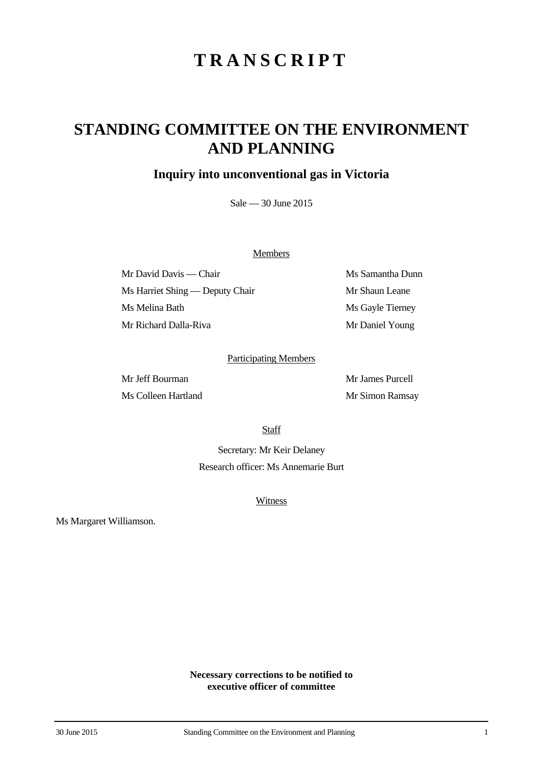## **STANDING COMMITTEE ON THE ENVIRONMENT AND PLANNING**

### **Inquiry into unconventional gas in Victoria**

Sale — 30 June 2015

#### **Members**

Mr David Davis — Chair Ms Samantha Dunn Ms Harriet Shing — Deputy Chair Mr Shaun Leane Ms Melina Bath Ms Gayle Tierney Mr Richard Dalla-Riva Mr Daniel Young

#### Participating Members

Ms Colleen Hartland Mr Simon Ramsay

Mr Jeff Bourman Mr James Purcell

**Staff** 

Secretary: Mr Keir Delaney Research officer: Ms Annemarie Burt

**Witness** 

Ms Margaret Williamson.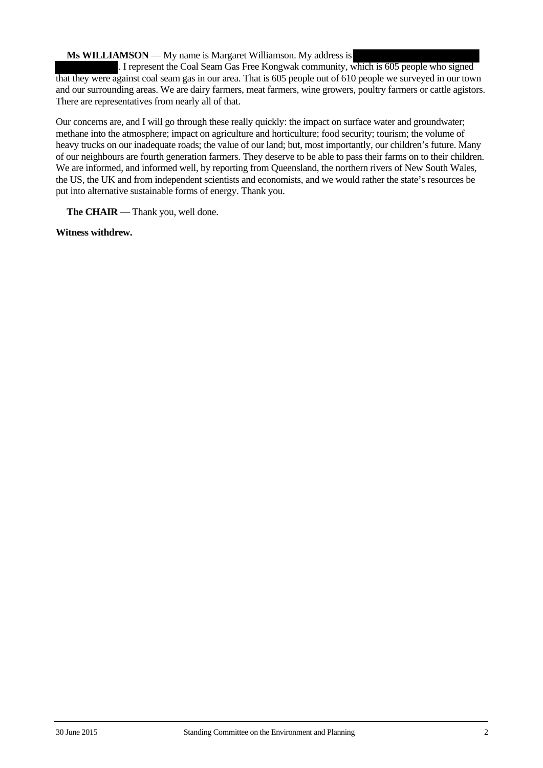#### **Ms WILLIAMSON** — My name is Margaret Williamson. My address is

. I represent the Coal Seam Gas Free Kongwak community, which is 605 people who signed that they were against coal seam gas in our area. That is 605 people out of 610 people we surveyed in our town and our surrounding areas. We are dairy farmers, meat farmers, wine growers, poultry farmers or cattle agistors. There are representatives from nearly all of that.

Our concerns are, and I will go through these really quickly: the impact on surface water and groundwater; methane into the atmosphere; impact on agriculture and horticulture; food security; tourism; the volume of heavy trucks on our inadequate roads; the value of our land; but, most importantly, our children's future. Many of our neighbours are fourth generation farmers. They deserve to be able to pass their farms on to their children. We are informed, and informed well, by reporting from Queensland, the northern rivers of New South Wales, the US, the UK and from independent scientists and economists, and we would rather the state's resources be put into alternative sustainable forms of energy. Thank you.

**The CHAIR** — Thank you, well done.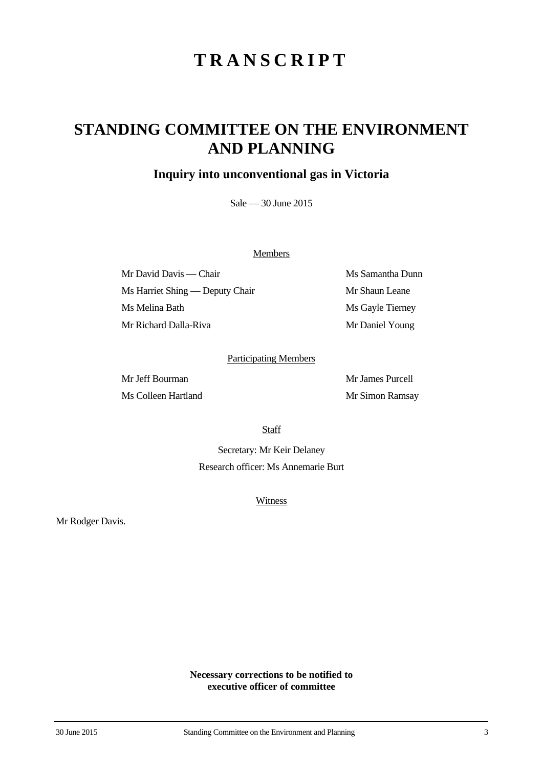## **STANDING COMMITTEE ON THE ENVIRONMENT AND PLANNING**

### **Inquiry into unconventional gas in Victoria**

Sale — 30 June 2015

#### **Members**

Mr David Davis — Chair Ms Samantha Dunn Ms Harriet Shing — Deputy Chair Mr Shaun Leane Ms Melina Bath Ms Gayle Tierney Mr Richard Dalla-Riva Mr Daniel Young

#### Participating Members

Ms Colleen Hartland Mr Simon Ramsay

Mr Jeff Bourman Mr James Purcell

**Staff** 

Secretary: Mr Keir Delaney Research officer: Ms Annemarie Burt

**Witness** 

Mr Rodger Davis.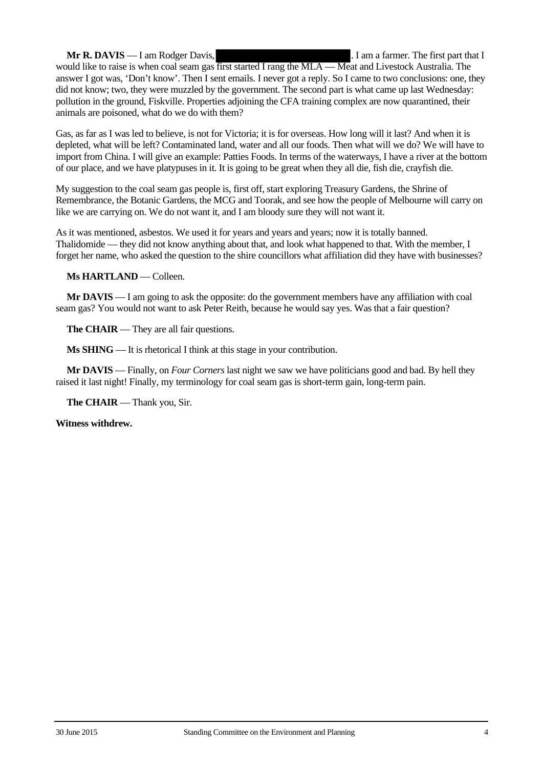**Mr R. DAVIS** — I am Rodger Davis, ... I am a farmer. The first part that I would like to raise is when coal seam gas first started I rang the MLA — Meat and Livestock Australia. The answer I got was, 'Don't know'. Then I sent emails. I never got a reply. So I came to two conclusions: one, they did not know; two, they were muzzled by the government. The second part is what came up last Wednesday: pollution in the ground, Fiskville. Properties adjoining the CFA training complex are now quarantined, their animals are poisoned, what do we do with them?

Gas, as far as I was led to believe, is not for Victoria; it is for overseas. How long will it last? And when it is depleted, what will be left? Contaminated land, water and all our foods. Then what will we do? We will have to import from China. I will give an example: Patties Foods. In terms of the waterways, I have a river at the bottom of our place, and we have platypuses in it. It is going to be great when they all die, fish die, crayfish die.

My suggestion to the coal seam gas people is, first off, start exploring Treasury Gardens, the Shrine of Remembrance, the Botanic Gardens, the MCG and Toorak, and see how the people of Melbourne will carry on like we are carrying on. We do not want it, and I am bloody sure they will not want it.

As it was mentioned, asbestos. We used it for years and years and years; now it is totally banned. Thalidomide — they did not know anything about that, and look what happened to that. With the member, I forget her name, who asked the question to the shire councillors what affiliation did they have with businesses?

**Ms HARTLAND** — Colleen.

**Mr DAVIS** — I am going to ask the opposite: do the government members have any affiliation with coal seam gas? You would not want to ask Peter Reith, because he would say yes. Was that a fair question?

**The CHAIR** — They are all fair questions.

**Ms SHING** — It is rhetorical I think at this stage in your contribution.

**Mr DAVIS** — Finally, on *Four Corners* last night we saw we have politicians good and bad. By hell they raised it last night! Finally, my terminology for coal seam gas is short-term gain, long-term pain.

**The CHAIR** — Thank you, Sir.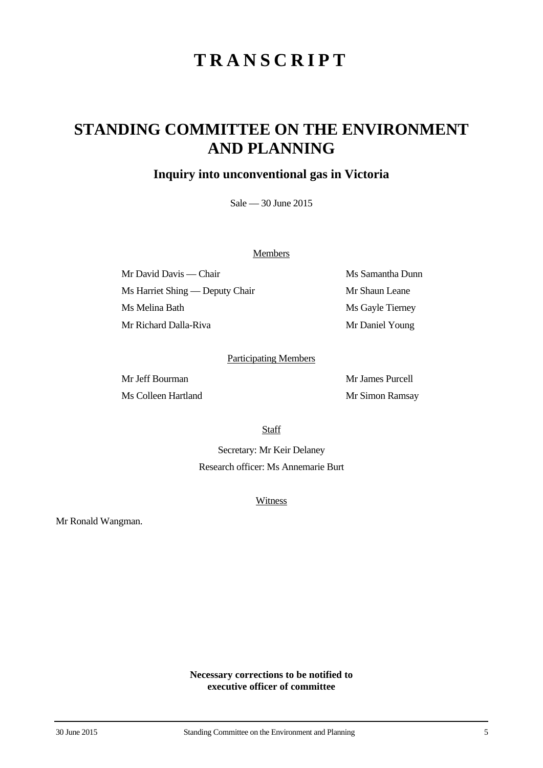## **STANDING COMMITTEE ON THE ENVIRONMENT AND PLANNING**

### **Inquiry into unconventional gas in Victoria**

Sale — 30 June 2015

#### **Members**

Mr David Davis — Chair Ms Samantha Dunn Ms Harriet Shing — Deputy Chair Mr Shaun Leane Ms Melina Bath Ms Gayle Tierney Mr Richard Dalla-Riva Mr Daniel Young

#### Participating Members

Ms Colleen Hartland Mr Simon Ramsay

Mr Jeff Bourman Mr James Purcell

**Staff** 

Secretary: Mr Keir Delaney Research officer: Ms Annemarie Burt

**Witness** 

Mr Ronald Wangman.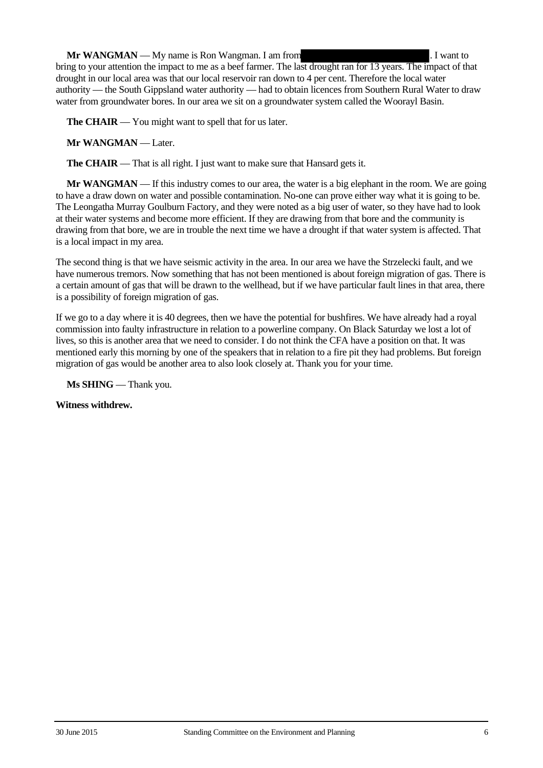**Mr WANGMAN** — My name is Ron Wangman. I am from . I want to . I want to bring to your attention the impact to me as a beef farmer. The last drought ran for 13 years. The impact of that drought in our local area was that our local reservoir ran down to 4 per cent. Therefore the local water authority — the South Gippsland water authority — had to obtain licences from Southern Rural Water to draw water from groundwater bores. In our area we sit on a groundwater system called the Woorayl Basin.

**The CHAIR** — You might want to spell that for us later.

**Mr WANGMAN** — Later.

**The CHAIR** — That is all right. I just want to make sure that Hansard gets it.

**Mr WANGMAN** — If this industry comes to our area, the water is a big elephant in the room. We are going to have a draw down on water and possible contamination. No-one can prove either way what it is going to be. The Leongatha Murray Goulburn Factory, and they were noted as a big user of water, so they have had to look at their water systems and become more efficient. If they are drawing from that bore and the community is drawing from that bore, we are in trouble the next time we have a drought if that water system is affected. That is a local impact in my area.

The second thing is that we have seismic activity in the area. In our area we have the Strzelecki fault, and we have numerous tremors. Now something that has not been mentioned is about foreign migration of gas. There is a certain amount of gas that will be drawn to the wellhead, but if we have particular fault lines in that area, there is a possibility of foreign migration of gas.

If we go to a day where it is 40 degrees, then we have the potential for bushfires. We have already had a royal commission into faulty infrastructure in relation to a powerline company. On Black Saturday we lost a lot of lives, so this is another area that we need to consider. I do not think the CFA have a position on that. It was mentioned early this morning by one of the speakers that in relation to a fire pit they had problems. But foreign migration of gas would be another area to also look closely at. Thank you for your time.

**Ms SHING** — Thank you.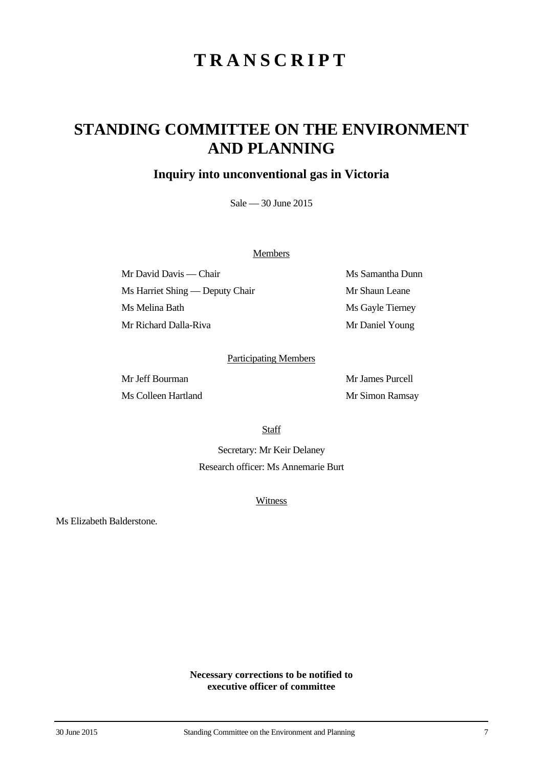## **STANDING COMMITTEE ON THE ENVIRONMENT AND PLANNING**

### **Inquiry into unconventional gas in Victoria**

Sale — 30 June 2015

#### **Members**

Mr David Davis — Chair Ms Samantha Dunn Ms Harriet Shing — Deputy Chair Mr Shaun Leane Ms Melina Bath Ms Gayle Tierney Mr Richard Dalla-Riva Mr Daniel Young

#### Participating Members

Ms Colleen Hartland Mr Simon Ramsay

Mr Jeff Bourman Mr James Purcell

**Staff** 

Secretary: Mr Keir Delaney Research officer: Ms Annemarie Burt

**Witness** 

Ms Elizabeth Balderstone.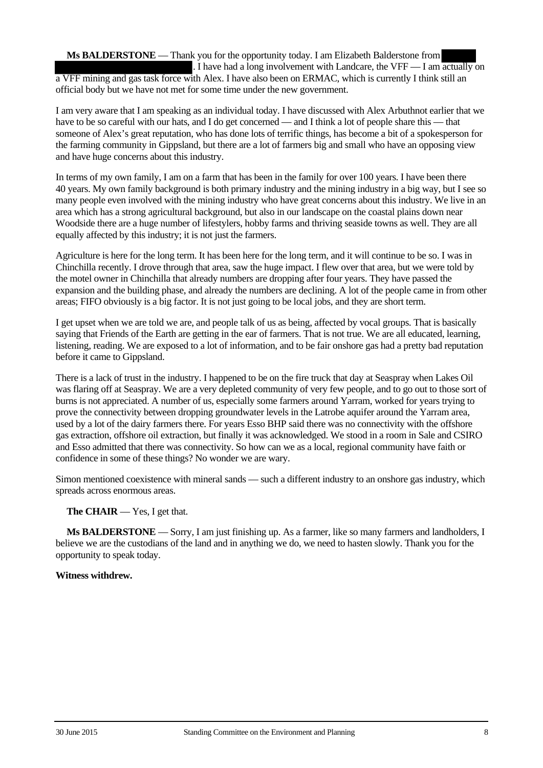**Ms BALDERSTONE** — Thank you for the opportunity today. I am Elizabeth Balderstone from . I have had a long involvement with Landcare, the VFF  $-$  I am actually on a VFF mining and gas task force with Alex. I have also been on ERMAC, which is currently I think still an official body but we have not met for some time under the new government.

I am very aware that I am speaking as an individual today. I have discussed with Alex Arbuthnot earlier that we have to be so careful with our hats, and I do get concerned — and I think a lot of people share this — that someone of Alex's great reputation, who has done lots of terrific things, has become a bit of a spokesperson for the farming community in Gippsland, but there are a lot of farmers big and small who have an opposing view and have huge concerns about this industry.

In terms of my own family, I am on a farm that has been in the family for over 100 years. I have been there 40 years. My own family background is both primary industry and the mining industry in a big way, but I see so many people even involved with the mining industry who have great concerns about this industry. We live in an area which has a strong agricultural background, but also in our landscape on the coastal plains down near Woodside there are a huge number of lifestylers, hobby farms and thriving seaside towns as well. They are all equally affected by this industry; it is not just the farmers.

Agriculture is here for the long term. It has been here for the long term, and it will continue to be so. I was in Chinchilla recently. I drove through that area, saw the huge impact. I flew over that area, but we were told by the motel owner in Chinchilla that already numbers are dropping after four years. They have passed the expansion and the building phase, and already the numbers are declining. A lot of the people came in from other areas; FIFO obviously is a big factor. It is not just going to be local jobs, and they are short term.

I get upset when we are told we are, and people talk of us as being, affected by vocal groups. That is basically saying that Friends of the Earth are getting in the ear of farmers. That is not true. We are all educated, learning, listening, reading. We are exposed to a lot of information, and to be fair onshore gas had a pretty bad reputation before it came to Gippsland.

There is a lack of trust in the industry. I happened to be on the fire truck that day at Seaspray when Lakes Oil was flaring off at Seaspray. We are a very depleted community of very few people, and to go out to those sort of burns is not appreciated. A number of us, especially some farmers around Yarram, worked for years trying to prove the connectivity between dropping groundwater levels in the Latrobe aquifer around the Yarram area, used by a lot of the dairy farmers there. For years Esso BHP said there was no connectivity with the offshore gas extraction, offshore oil extraction, but finally it was acknowledged. We stood in a room in Sale and CSIRO and Esso admitted that there was connectivity. So how can we as a local, regional community have faith or confidence in some of these things? No wonder we are wary.

Simon mentioned coexistence with mineral sands — such a different industry to an onshore gas industry, which spreads across enormous areas.

### **The CHAIR** — Yes, I get that.

**Ms BALDERSTONE** — Sorry, I am just finishing up. As a farmer, like so many farmers and landholders, I believe we are the custodians of the land and in anything we do, we need to hasten slowly. Thank you for the opportunity to speak today.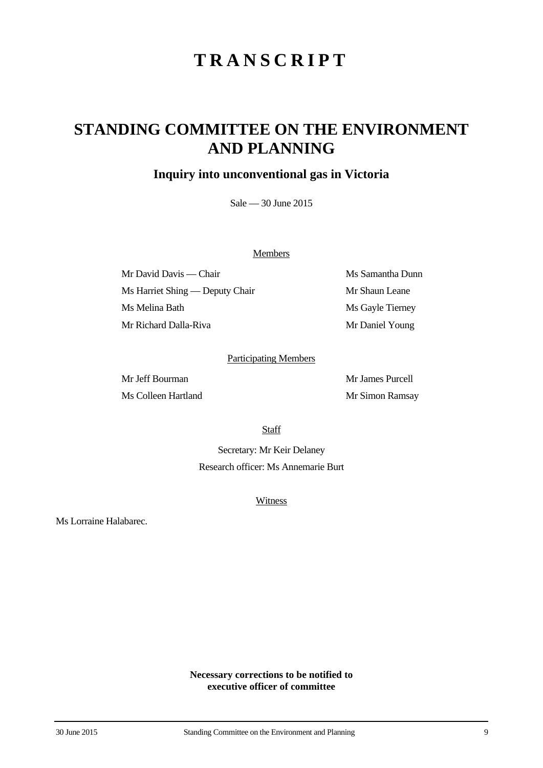## **STANDING COMMITTEE ON THE ENVIRONMENT AND PLANNING**

### **Inquiry into unconventional gas in Victoria**

Sale — 30 June 2015

#### **Members**

Mr David Davis — Chair Ms Samantha Dunn Ms Harriet Shing — Deputy Chair Mr Shaun Leane Ms Melina Bath Ms Gayle Tierney Mr Richard Dalla-Riva Mr Daniel Young

#### Participating Members

Ms Colleen Hartland Mr Simon Ramsay

Mr Jeff Bourman Mr James Purcell

**Staff** 

Secretary: Mr Keir Delaney Research officer: Ms Annemarie Burt

**Witness** 

Ms Lorraine Halabarec.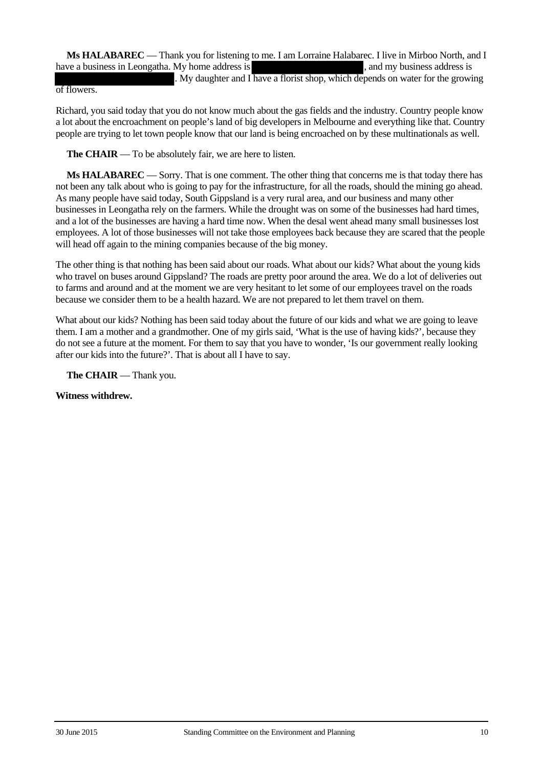**Ms HALABAREC** — Thank you for listening to me. I am Lorraine Halabarec. I live in Mirboo North, and I have a business in Leongatha. My home address is the state of the state and my business address is

. My daughter and I have a florist shop, which depends on water for the growing

#### of flowers.

Richard, you said today that you do not know much about the gas fields and the industry. Country people know a lot about the encroachment on people's land of big developers in Melbourne and everything like that. Country people are trying to let town people know that our land is being encroached on by these multinationals as well.

**The CHAIR** — To be absolutely fair, we are here to listen.

**Ms HALABAREC** — Sorry. That is one comment. The other thing that concerns me is that today there has not been any talk about who is going to pay for the infrastructure, for all the roads, should the mining go ahead. As many people have said today, South Gippsland is a very rural area, and our business and many other businesses in Leongatha rely on the farmers. While the drought was on some of the businesses had hard times, and a lot of the businesses are having a hard time now. When the desal went ahead many small businesses lost employees. A lot of those businesses will not take those employees back because they are scared that the people will head off again to the mining companies because of the big money.

The other thing is that nothing has been said about our roads. What about our kids? What about the young kids who travel on buses around Gippsland? The roads are pretty poor around the area. We do a lot of deliveries out to farms and around and at the moment we are very hesitant to let some of our employees travel on the roads because we consider them to be a health hazard. We are not prepared to let them travel on them.

What about our kids? Nothing has been said today about the future of our kids and what we are going to leave them. I am a mother and a grandmother. One of my girls said, 'What is the use of having kids?', because they do not see a future at the moment. For them to say that you have to wonder, 'Is our government really looking after our kids into the future?'. That is about all I have to say.

**The CHAIR** — Thank you.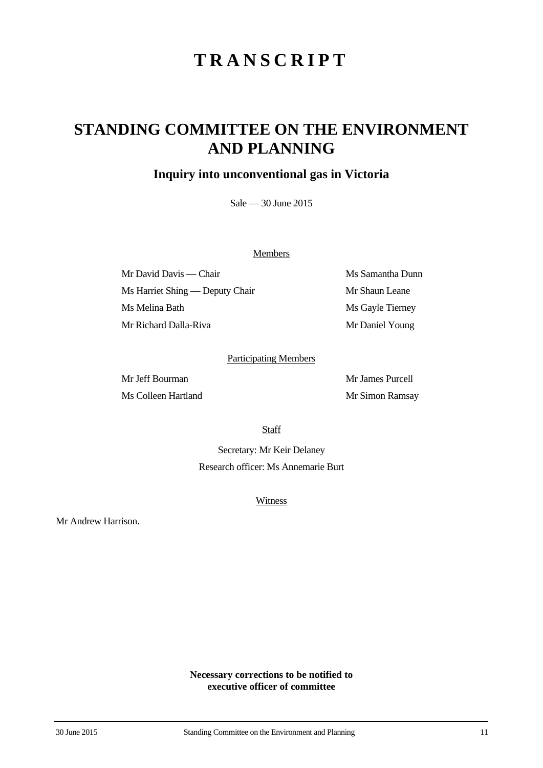## **STANDING COMMITTEE ON THE ENVIRONMENT AND PLANNING**

### **Inquiry into unconventional gas in Victoria**

Sale — 30 June 2015

#### **Members**

Mr David Davis — Chair Ms Samantha Dunn Ms Harriet Shing — Deputy Chair Mr Shaun Leane Ms Melina Bath Ms Gayle Tierney Mr Richard Dalla-Riva Mr Daniel Young

#### Participating Members

Ms Colleen Hartland Mr Simon Ramsay

Mr Jeff Bourman Mr James Purcell

**Staff** 

Secretary: Mr Keir Delaney Research officer: Ms Annemarie Burt

**Witness** 

Mr Andrew Harrison.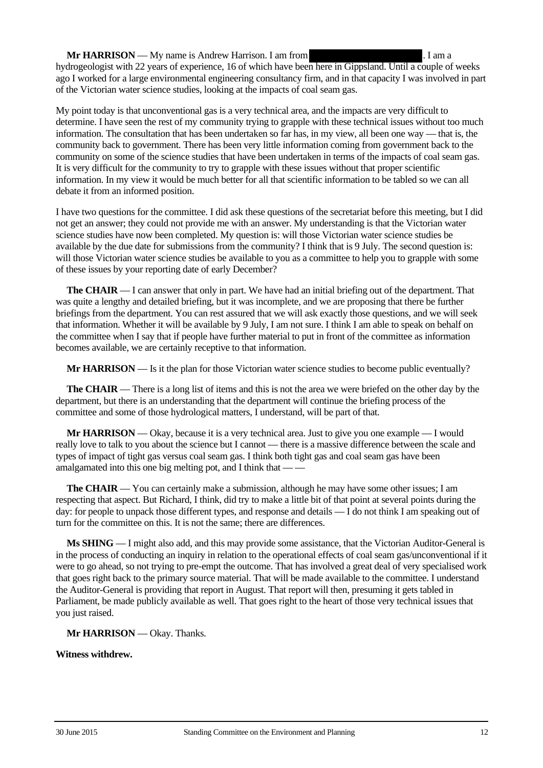**Mr HARRISON** — My name is Andrew Harrison. I am from . I am a

hydrogeologist with 22 years of experience, 16 of which have been here in Gippsland. Until a couple of weeks ago I worked for a large environmental engineering consultancy firm, and in that capacity I was involved in part of the Victorian water science studies, looking at the impacts of coal seam gas.

My point today is that unconventional gas is a very technical area, and the impacts are very difficult to determine. I have seen the rest of my community trying to grapple with these technical issues without too much information. The consultation that has been undertaken so far has, in my view, all been one way — that is, the community back to government. There has been very little information coming from government back to the community on some of the science studies that have been undertaken in terms of the impacts of coal seam gas. It is very difficult for the community to try to grapple with these issues without that proper scientific information. In my view it would be much better for all that scientific information to be tabled so we can all debate it from an informed position.

I have two questions for the committee. I did ask these questions of the secretariat before this meeting, but I did not get an answer; they could not provide me with an answer. My understanding is that the Victorian water science studies have now been completed. My question is: will those Victorian water science studies be available by the due date for submissions from the community? I think that is 9 July. The second question is: will those Victorian water science studies be available to you as a committee to help you to grapple with some of these issues by your reporting date of early December?

**The CHAIR** — I can answer that only in part. We have had an initial briefing out of the department. That was quite a lengthy and detailed briefing, but it was incomplete, and we are proposing that there be further briefings from the department. You can rest assured that we will ask exactly those questions, and we will seek that information. Whether it will be available by 9 July, I am not sure. I think I am able to speak on behalf on the committee when I say that if people have further material to put in front of the committee as information becomes available, we are certainly receptive to that information.

**Mr HARRISON** — Is it the plan for those Victorian water science studies to become public eventually?

**The CHAIR** — There is a long list of items and this is not the area we were briefed on the other day by the department, but there is an understanding that the department will continue the briefing process of the committee and some of those hydrological matters, I understand, will be part of that.

**Mr HARRISON** — Okay, because it is a very technical area. Just to give you one example — I would really love to talk to you about the science but I cannot — there is a massive difference between the scale and types of impact of tight gas versus coal seam gas. I think both tight gas and coal seam gas have been amalgamated into this one big melting pot, and I think that — —

**The CHAIR** — You can certainly make a submission, although he may have some other issues; I am respecting that aspect. But Richard, I think, did try to make a little bit of that point at several points during the day: for people to unpack those different types, and response and details — I do not think I am speaking out of turn for the committee on this. It is not the same; there are differences.

**Ms SHING** — I might also add, and this may provide some assistance, that the Victorian Auditor-General is in the process of conducting an inquiry in relation to the operational effects of coal seam gas/unconventional if it were to go ahead, so not trying to pre-empt the outcome. That has involved a great deal of very specialised work that goes right back to the primary source material. That will be made available to the committee. I understand the Auditor-General is providing that report in August. That report will then, presuming it gets tabled in Parliament, be made publicly available as well. That goes right to the heart of those very technical issues that you just raised.

**Mr HARRISON** — Okay. Thanks.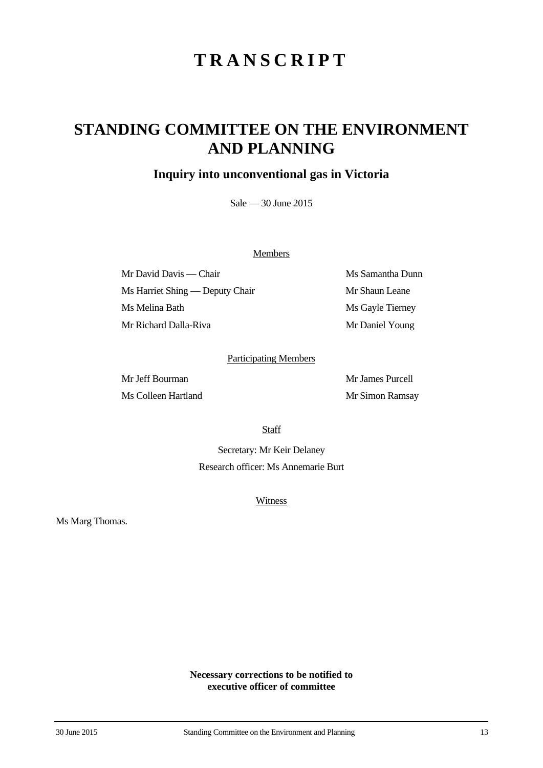## **STANDING COMMITTEE ON THE ENVIRONMENT AND PLANNING**

### **Inquiry into unconventional gas in Victoria**

Sale — 30 June 2015

#### **Members**

Mr David Davis — Chair Ms Samantha Dunn Ms Harriet Shing — Deputy Chair Mr Shaun Leane Ms Melina Bath Ms Gayle Tierney Mr Richard Dalla-Riva Mr Daniel Young

#### Participating Members

Ms Colleen Hartland Mr Simon Ramsay

Mr Jeff Bourman Mr James Purcell

**Staff** 

Secretary: Mr Keir Delaney Research officer: Ms Annemarie Burt

**Witness** 

Ms Marg Thomas.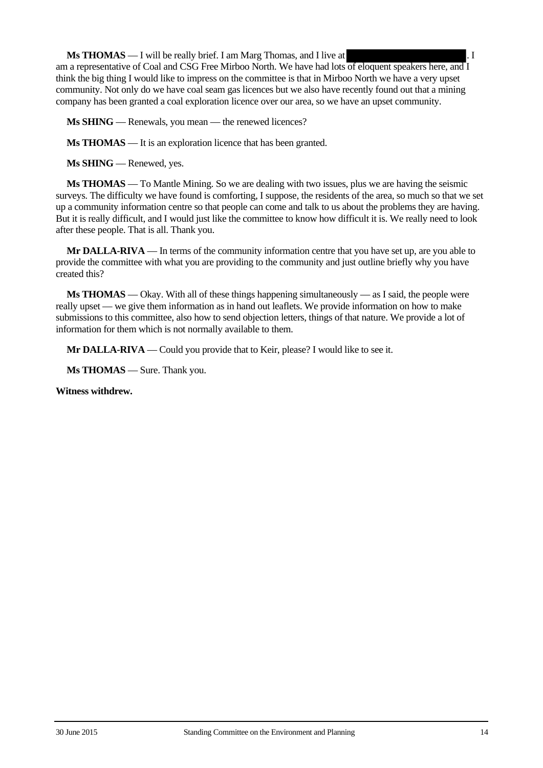**Ms THOMAS** — I will be really brief. I am Marg Thomas, and I live at . I

am a representative of Coal and CSG Free Mirboo North. We have had lots of eloquent speakers here, and I think the big thing I would like to impress on the committee is that in Mirboo North we have a very upset community. Not only do we have coal seam gas licences but we also have recently found out that a mining company has been granted a coal exploration licence over our area, so we have an upset community.

**Ms SHING** — Renewals, you mean — the renewed licences?

**Ms THOMAS** — It is an exploration licence that has been granted.

**Ms SHING** — Renewed, yes.

**Ms THOMAS** — To Mantle Mining. So we are dealing with two issues, plus we are having the seismic surveys. The difficulty we have found is comforting, I suppose, the residents of the area, so much so that we set up a community information centre so that people can come and talk to us about the problems they are having. But it is really difficult, and I would just like the committee to know how difficult it is. We really need to look after these people. That is all. Thank you.

**Mr DALLA-RIVA** — In terms of the community information centre that you have set up, are you able to provide the committee with what you are providing to the community and just outline briefly why you have created this?

**Ms THOMAS** — Okay. With all of these things happening simultaneously — as I said, the people were really upset — we give them information as in hand out leaflets. We provide information on how to make submissions to this committee, also how to send objection letters, things of that nature. We provide a lot of information for them which is not normally available to them.

**Mr DALLA-RIVA** — Could you provide that to Keir, please? I would like to see it.

**Ms THOMAS** — Sure. Thank you.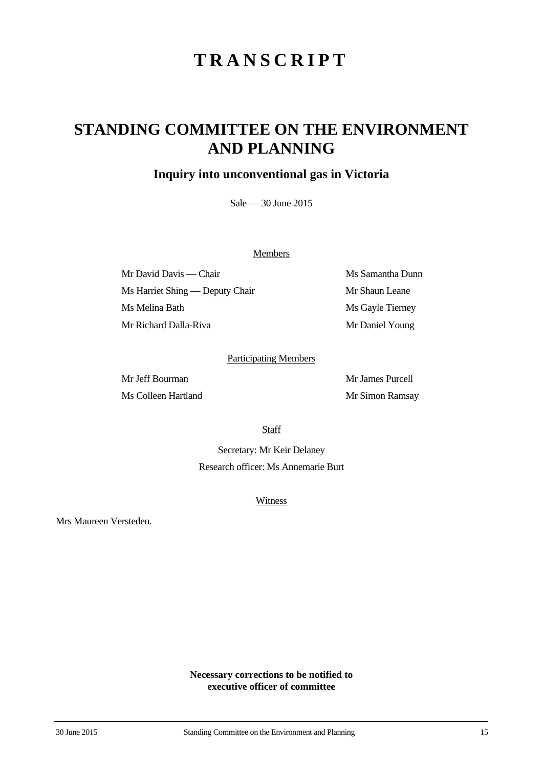## **STANDING COMMITTEE ON THE ENVIRONMENT AND PLANNING**

### **Inquiry into unconventional gas in Victoria**

Sale — 30 June 2015

#### **Members**

Mr David Davis — Chair Ms Samantha Dunn Ms Harriet Shing — Deputy Chair Mr Shaun Leane Ms Melina Bath Ms Gayle Tierney Mr Richard Dalla-Riva Mr Daniel Young

#### Participating Members

Ms Colleen Hartland Mr Simon Ramsay

Mr Jeff Bourman Mr James Purcell

**Staff** 

Secretary: Mr Keir Delaney Research officer: Ms Annemarie Burt

**Witness** 

Mrs Maureen Versteden.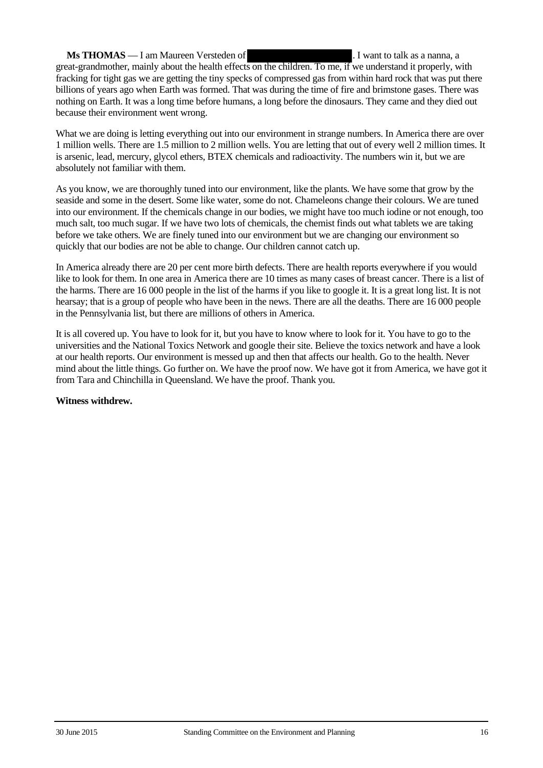#### **Ms THOMAS** — I am Maureen Versteden of . I want to talk as a nanna, a great-grandmother, mainly about the health effects on the children. To me, if we understand it properly, with fracking for tight gas we are getting the tiny specks of compressed gas from within hard rock that was put there billions of years ago when Earth was formed. That was during the time of fire and brimstone gases. There was nothing on Earth. It was a long time before humans, a long before the dinosaurs. They came and they died out because their environment went wrong.

What we are doing is letting everything out into our environment in strange numbers. In America there are over 1 million wells. There are 1.5 million to 2 million wells. You are letting that out of every well 2 million times. It is arsenic, lead, mercury, glycol ethers, BTEX chemicals and radioactivity. The numbers win it, but we are absolutely not familiar with them.

As you know, we are thoroughly tuned into our environment, like the plants. We have some that grow by the seaside and some in the desert. Some like water, some do not. Chameleons change their colours. We are tuned into our environment. If the chemicals change in our bodies, we might have too much iodine or not enough, too much salt, too much sugar. If we have two lots of chemicals, the chemist finds out what tablets we are taking before we take others. We are finely tuned into our environment but we are changing our environment so quickly that our bodies are not be able to change. Our children cannot catch up.

In America already there are 20 per cent more birth defects. There are health reports everywhere if you would like to look for them. In one area in America there are 10 times as many cases of breast cancer. There is a list of the harms. There are 16 000 people in the list of the harms if you like to google it. It is a great long list. It is not hearsay; that is a group of people who have been in the news. There are all the deaths. There are 16 000 people in the Pennsylvania list, but there are millions of others in America.

It is all covered up. You have to look for it, but you have to know where to look for it. You have to go to the universities and the National Toxics Network and google their site. Believe the toxics network and have a look at our health reports. Our environment is messed up and then that affects our health. Go to the health. Never mind about the little things. Go further on. We have the proof now. We have got it from America, we have got it from Tara and Chinchilla in Queensland. We have the proof. Thank you.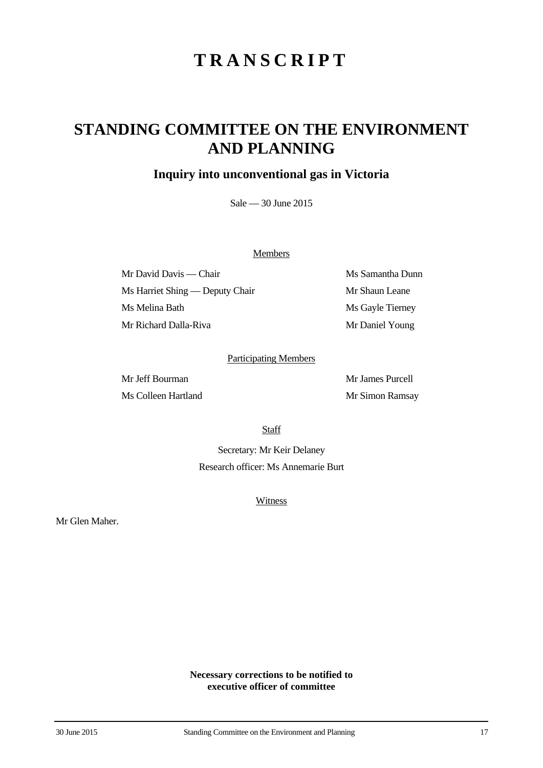## **STANDING COMMITTEE ON THE ENVIRONMENT AND PLANNING**

### **Inquiry into unconventional gas in Victoria**

Sale — 30 June 2015

#### **Members**

Mr David Davis — Chair Ms Samantha Dunn Ms Harriet Shing — Deputy Chair Mr Shaun Leane Ms Melina Bath Ms Gayle Tierney Mr Richard Dalla-Riva Mr Daniel Young

#### Participating Members

Ms Colleen Hartland Mr Simon Ramsay

Mr Jeff Bourman Mr James Purcell

**Staff** 

Secretary: Mr Keir Delaney Research officer: Ms Annemarie Burt

**Witness** 

Mr Glen Maher.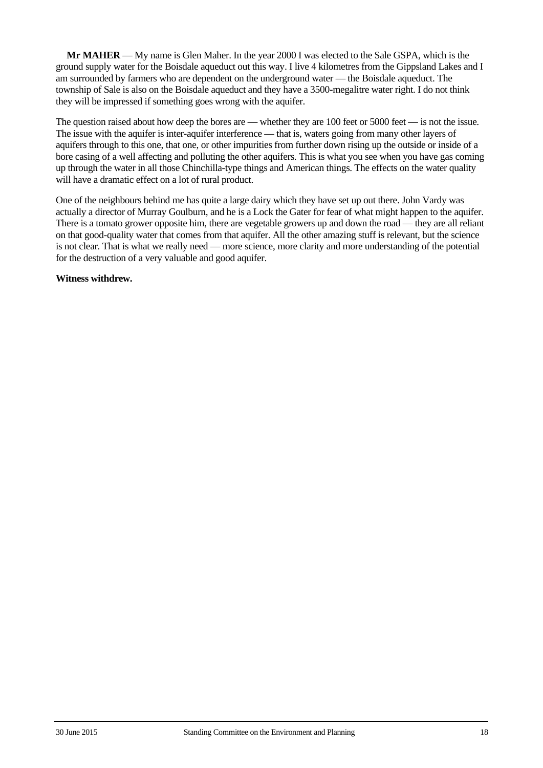**Mr MAHER** — My name is Glen Maher. In the year 2000 I was elected to the Sale GSPA, which is the ground supply water for the Boisdale aqueduct out this way. I live 4 kilometres from the Gippsland Lakes and I am surrounded by farmers who are dependent on the underground water — the Boisdale aqueduct. The township of Sale is also on the Boisdale aqueduct and they have a 3500-megalitre water right. I do not think they will be impressed if something goes wrong with the aquifer.

The question raised about how deep the bores are — whether they are 100 feet or 5000 feet — is not the issue. The issue with the aquifer is inter-aquifer interference — that is, waters going from many other layers of aquifers through to this one, that one, or other impurities from further down rising up the outside or inside of a bore casing of a well affecting and polluting the other aquifers. This is what you see when you have gas coming up through the water in all those Chinchilla-type things and American things. The effects on the water quality will have a dramatic effect on a lot of rural product.

One of the neighbours behind me has quite a large dairy which they have set up out there. John Vardy was actually a director of Murray Goulburn, and he is a Lock the Gater for fear of what might happen to the aquifer. There is a tomato grower opposite him, there are vegetable growers up and down the road — they are all reliant on that good-quality water that comes from that aquifer. All the other amazing stuff is relevant, but the science is not clear. That is what we really need — more science, more clarity and more understanding of the potential for the destruction of a very valuable and good aquifer.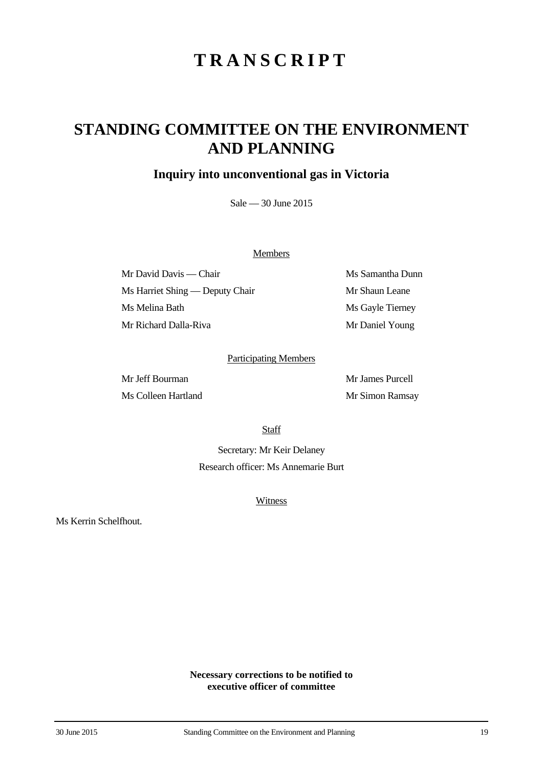## **STANDING COMMITTEE ON THE ENVIRONMENT AND PLANNING**

### **Inquiry into unconventional gas in Victoria**

Sale — 30 June 2015

#### **Members**

Mr David Davis — Chair Ms Samantha Dunn Ms Harriet Shing — Deputy Chair Mr Shaun Leane Ms Melina Bath Ms Gayle Tierney Mr Richard Dalla-Riva Mr Daniel Young

#### Participating Members

Ms Colleen Hartland Mr Simon Ramsay

Mr Jeff Bourman Mr James Purcell

**Staff** 

Secretary: Mr Keir Delaney Research officer: Ms Annemarie Burt

**Witness** 

Ms Kerrin Schelfhout.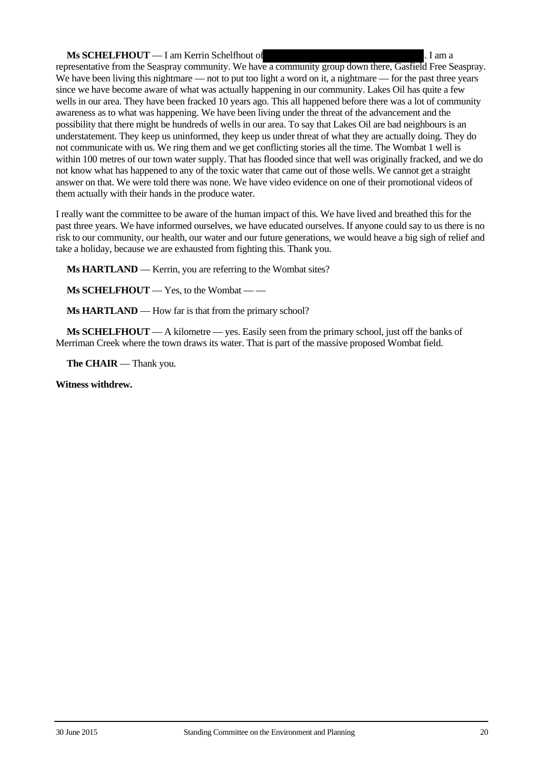#### **Ms SCHELFHOUT** — I am Kerrin Schelfhout of . I am a

representative from the Seaspray community. We have a community group down there, Gasfield Free Seaspray. We have been living this nightmare — not to put too light a word on it, a nightmare — for the past three years since we have become aware of what was actually happening in our community. Lakes Oil has quite a few wells in our area. They have been fracked 10 years ago. This all happened before there was a lot of community awareness as to what was happening. We have been living under the threat of the advancement and the possibility that there might be hundreds of wells in our area. To say that Lakes Oil are bad neighbours is an understatement. They keep us uninformed, they keep us under threat of what they are actually doing. They do not communicate with us. We ring them and we get conflicting stories all the time. The Wombat 1 well is within 100 metres of our town water supply. That has flooded since that well was originally fracked, and we do not know what has happened to any of the toxic water that came out of those wells. We cannot get a straight answer on that. We were told there was none. We have video evidence on one of their promotional videos of them actually with their hands in the produce water.

I really want the committee to be aware of the human impact of this. We have lived and breathed this for the past three years. We have informed ourselves, we have educated ourselves. If anyone could say to us there is no risk to our community, our health, our water and our future generations, we would heave a big sigh of relief and take a holiday, because we are exhausted from fighting this. Thank you.

**Ms HARTLAND** — Kerrin, you are referring to the Wombat sites?

**Ms SCHELFHOUT** — Yes, to the Wombat — —

**Ms HARTLAND** — How far is that from the primary school?

**Ms SCHELFHOUT** — A kilometre — yes. Easily seen from the primary school, just off the banks of Merriman Creek where the town draws its water. That is part of the massive proposed Wombat field.

**The CHAIR** — Thank you.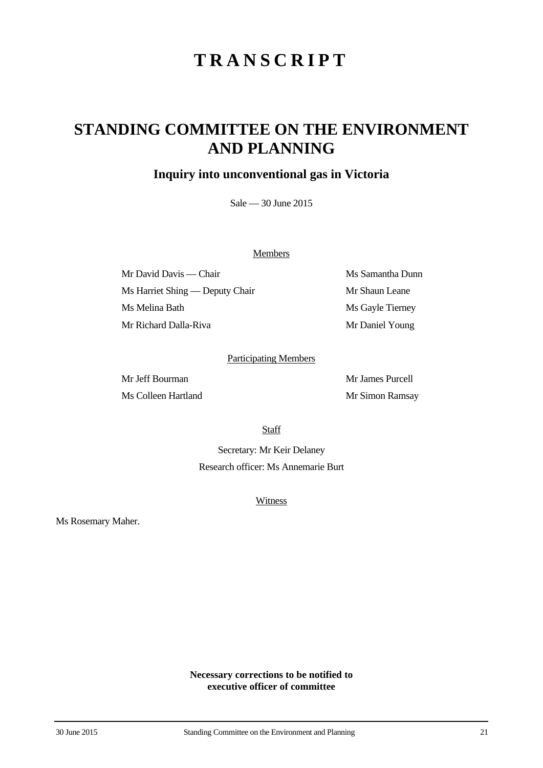## **STANDING COMMITTEE ON THE ENVIRONMENT AND PLANNING**

### **Inquiry into unconventional gas in Victoria**

Sale — 30 June 2015

#### **Members**

Mr David Davis — Chair Ms Samantha Dunn Ms Harriet Shing — Deputy Chair Mr Shaun Leane Ms Melina Bath Ms Gayle Tierney Mr Richard Dalla-Riva Mr Daniel Young

#### Participating Members

Ms Colleen Hartland Mr Simon Ramsay

Mr Jeff Bourman Mr James Purcell

**Staff** 

Secretary: Mr Keir Delaney Research officer: Ms Annemarie Burt

**Witness** 

Ms Rosemary Maher.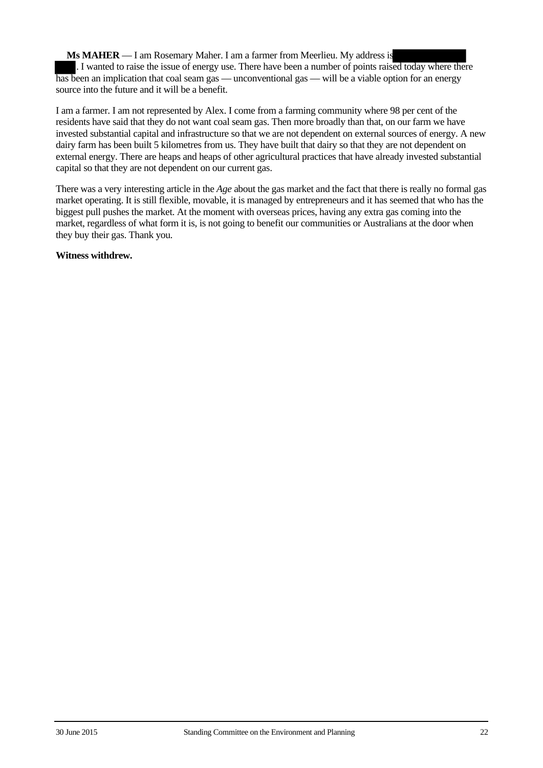**Ms MAHER** — I am Rosemary Maher. I am a farmer from Meerlieu. My address is . I wanted to raise the issue of energy use. There have been a number of points raised today where there has been an implication that coal seam gas — unconventional gas — will be a viable option for an energy source into the future and it will be a benefit.

I am a farmer. I am not represented by Alex. I come from a farming community where 98 per cent of the residents have said that they do not want coal seam gas. Then more broadly than that, on our farm we have invested substantial capital and infrastructure so that we are not dependent on external sources of energy. A new dairy farm has been built 5 kilometres from us. They have built that dairy so that they are not dependent on external energy. There are heaps and heaps of other agricultural practices that have already invested substantial capital so that they are not dependent on our current gas.

There was a very interesting article in the *Age* about the gas market and the fact that there is really no formal gas market operating. It is still flexible, movable, it is managed by entrepreneurs and it has seemed that who has the biggest pull pushes the market. At the moment with overseas prices, having any extra gas coming into the market, regardless of what form it is, is not going to benefit our communities or Australians at the door when they buy their gas. Thank you.